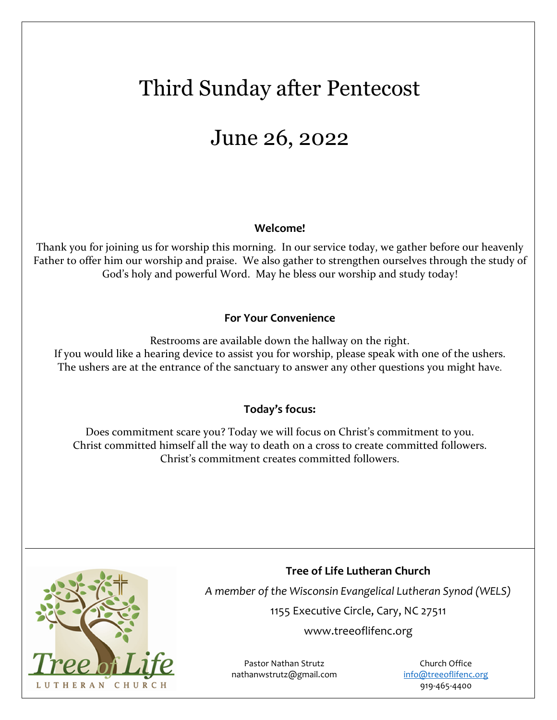# Third Sunday after Pentecost

## June 26, 2022

### **Welcome!**

Thank you for joining us for worship this morning. In our service today, we gather before our heavenly Father to offer him our worship and praise. We also gather to strengthen ourselves through the study of God's holy and powerful Word. May he bless our worship and study today!

### **For Your Convenience**

Restrooms are available down the hallway on the right. If you would like a hearing device to assist you for worship, please speak with one of the ushers. The ushers are at the entrance of the sanctuary to answer any other questions you might have.

### **Today's focus:**

Does commitment scare you? Today we will focus on Christ's commitment to you. Christ committed himself all the way to death on a cross to create committed followers. Christ's commitment creates committed followers.



**Tree of Life Lutheran Church** 

*A member of the Wisconsin Evangelical Lutheran Synod (WELS)* 

1155 Executive Circle, Cary, NC 27511

www.treeoflifenc.org

Pastor Nathan Strutz nathanwstrutz@gmail.com

Church Office info@treeoflifenc.org 919-465-4400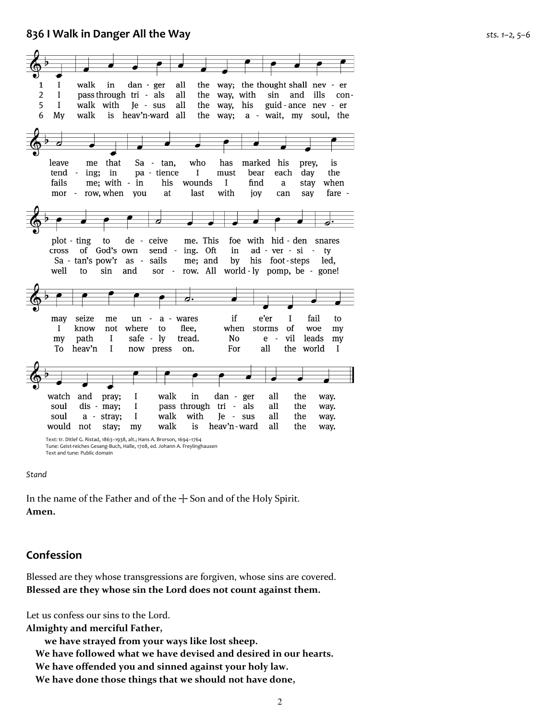#### **836 I Walk in Danger All the Way** *sts. 1–2, 5–6*



Tune: Geist-reiches Gesang-Buch, Halle, 1708, ed. Johann A. Freylinghausen Text and tune: Public domain

#### *Stand*

In the name of the Father and of the  $+$  Son and of the Holy Spirit. **Amen.**

#### **Confession**

Blessed are they whose transgressions are forgiven, whose sins are covered. **Blessed are they whose sin the Lord does not count against them.**

Let us confess our sins to the Lord.

**Almighty and merciful Father,** 

 **we have strayed from your ways like lost sheep. We have followed what we have devised and desired in our hearts. We have offended you and sinned against your holy law. We have done those things that we should not have done,**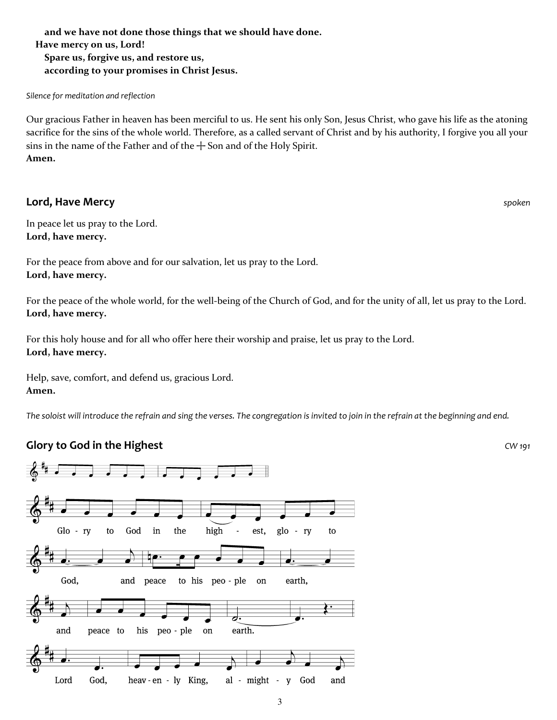**and we have not done those things that we should have done. Have mercy on us, Lord! Spare us, forgive us, and restore us, according to your promises in Christ Jesus.**

*Silence for meditation and reflection* 

Our gracious Father in heaven has been merciful to us. He sent his only Son, Jesus Christ, who gave his life as the atoning sacrifice for the sins of the whole world. Therefore, as a called servant of Christ and by his authority, I forgive you all your sins in the name of the Father and of the  $+$  Son and of the Holy Spirit. **Amen.**

#### **Lord, Have Mercy** *spoken*

In peace let us pray to the Lord. **Lord, have mercy.**

For the peace from above and for our salvation, let us pray to the Lord. **Lord, have mercy.**

For the peace of the whole world, for the well-being of the Church of God, and for the unity of all, let us pray to the Lord. **Lord, have mercy.**

For this holy house and for all who offer here their worship and praise, let us pray to the Lord. **Lord, have mercy.**

Help, save, comfort, and defend us, gracious Lord. **Amen.**

*The soloist will introduce the refrain and sing the verses. The congregation is invited to join in the refrain at the beginning and end.* 

### **Glory to God in the Highest** *CW 191*



3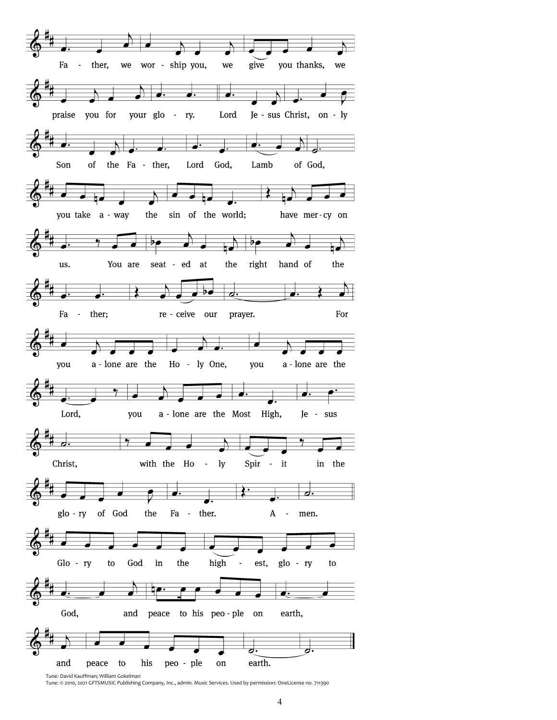

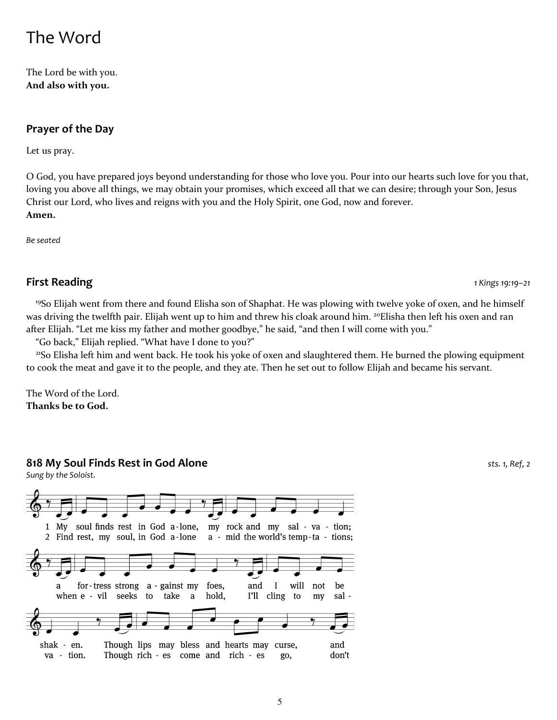### The Word

The Lord be with you. **And also with you.**

#### **Prayer of the Day**

Let us pray.

O God, you have prepared joys beyond understanding for those who love you. Pour into our hearts such love for you that, loving you above all things, we may obtain your promises, which exceed all that we can desire; through your Son, Jesus Christ our Lord, who lives and reigns with you and the Holy Spirit, one God, now and forever. **Amen.**

*Be seated* 

#### **First Reading** *1 Kings 19:19–21*

<sup>19</sup>So Elijah went from there and found Elisha son of Shaphat. He was plowing with twelve yoke of oxen, and he himself was driving the twelfth pair. Elijah went up to him and threw his cloak around him. <sup>20</sup>Elisha then left his oxen and ran after Elijah. "Let me kiss my father and mother goodbye," he said, "and then I will come with you."

"Go back," Elijah replied. "What have I done to you?"

<sup>21</sup>So Elisha left him and went back. He took his yoke of oxen and slaughtered them. He burned the plowing equipment to cook the meat and gave it to the people, and they ate. Then he set out to follow Elijah and became his servant.

The Word of the Lord. **Thanks be to God.**

#### **818 My Soul Finds Rest in God Alone** *sts. 1, Ref, 2*

*Sung by the Soloist.* 

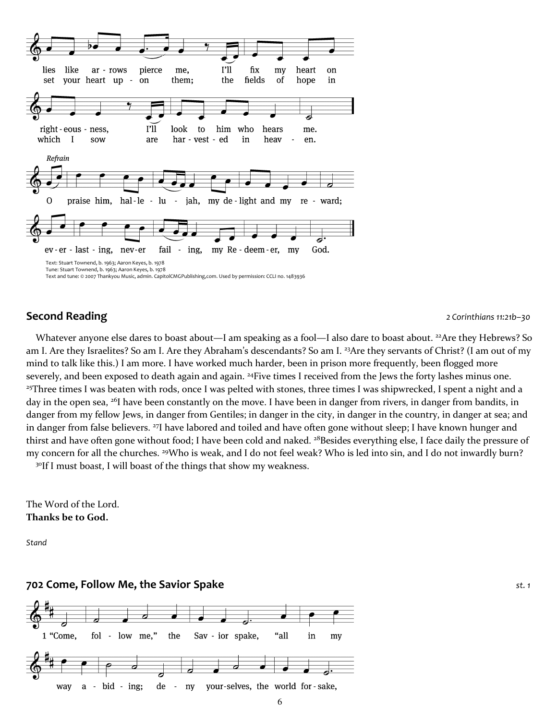

#### **Second Reading** *2 Corinthians 11:21b–30*

Whatever anyone else dares to boast about—I am speaking as a fool—I also dare to boast about. <sup>22</sup>Are they Hebrews? So am I. Are they Israelites? So am I. Are they Abraham's descendants? So am I. <sup>23</sup>Are they servants of Christ? (I am out of my mind to talk like this.) I am more. I have worked much harder, been in prison more frequently, been flogged more severely, and been exposed to death again and again. <sup>24</sup>Five times I received from the Jews the forty lashes minus one. <sup>25</sup>Three times I was beaten with rods, once I was pelted with stones, three times I was shipwrecked, I spent a night and a day in the open sea, <sup>26</sup>I have been constantly on the move. I have been in danger from rivers, in danger from bandits, in danger from my fellow Jews, in danger from Gentiles; in danger in the city, in danger in the country, in danger at sea; and in danger from false believers. <sup>27</sup>I have labored and toiled and have often gone without sleep; I have known hunger and thirst and have often gone without food; I have been cold and naked. <sup>28</sup>Besides everything else, I face daily the pressure of my concern for all the churches. <sup>29</sup>Who is weak, and I do not feel weak? Who is led into sin, and I do not inwardly burn? <sup>30</sup>If I must boast, I will boast of the things that show my weakness.

The Word of the Lord. **Thanks be to God.**

*Stand* 

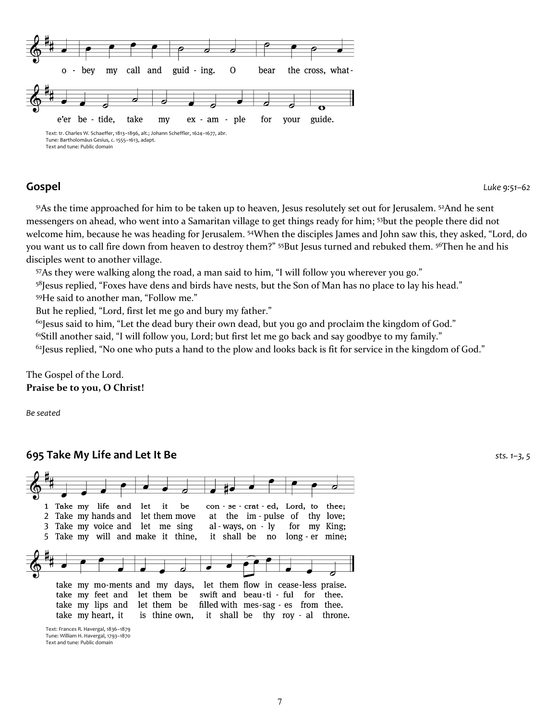Text and tune: Public domain

**Gospel** *Luke 9:51–62*

<sup>51</sup>As the time approached for him to be taken up to heaven, Jesus resolutely set out for Jerusalem. <sup>52</sup>And he sent messengers on ahead, who went into a Samaritan village to get things ready for him; <sup>53</sup>but the people there did not welcome him, because he was heading for Jerusalem. <sup>54</sup>When the disciples James and John saw this, they asked, "Lord, do you want us to call fire down from heaven to destroy them?" <sup>55</sup>But Jesus turned and rebuked them. <sup>56</sup>Then he and his disciples went to another village.

<sup>57</sup>As they were walking along the road, a man said to him, "I will follow you wherever you go."

58Jesus replied, "Foxes have dens and birds have nests, but the Son of Man has no place to lay his head."

<sup>59</sup>He said to another man, "Follow me."

But he replied, "Lord, first let me go and bury my father."

<sup>60</sup>Jesus said to him, "Let the dead bury their own dead, but you go and proclaim the kingdom of God."

<sup>61</sup>Still another said, "I will follow you, Lord; but first let me go back and say goodbye to my family."

 $62$ Jesus replied, "No one who puts a hand to the plow and looks back is fit for service in the kingdom of God."

The Gospel of the Lord. **Praise be to you, O Christ!**

*Be seated* 

#### **695 Take My Life and Let It Be** *sts. 1–3, 5*



Text: Frances R. Havergal, 1836–1879 Tune: William H. Havergal, 1793–1870 Text and tune: Public domain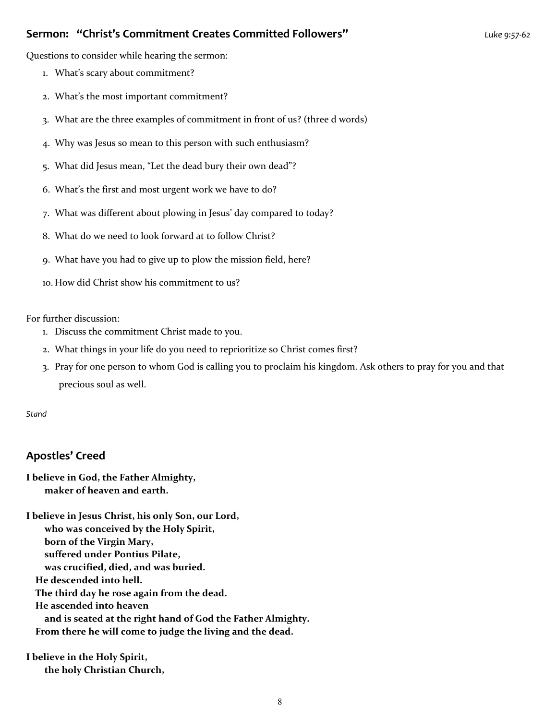#### **Sermon: "Christ's Commitment Creates Committed Followers"** *Luke 9:57-62*

Questions to consider while hearing the sermon:

- 1. What's scary about commitment?
- 2. What's the most important commitment?
- 3. What are the three examples of commitment in front of us? (three d words)
- 4. Why was Jesus so mean to this person with such enthusiasm?
- 5. What did Jesus mean, "Let the dead bury their own dead"?
- 6. What's the first and most urgent work we have to do?
- 7. What was different about plowing in Jesus' day compared to today?
- 8. What do we need to look forward at to follow Christ?
- 9. What have you had to give up to plow the mission field, here?
- 10. How did Christ show his commitment to us?

For further discussion:

- 1. Discuss the commitment Christ made to you.
- 2. What things in your life do you need to reprioritize so Christ comes first?
- 3. Pray for one person to whom God is calling you to proclaim his kingdom. Ask others to pray for you and that precious soul as well.

*Stand* 

#### **Apostles' Creed**

**I believe in God, the Father Almighty, maker of heaven and earth.**

**I believe in Jesus Christ, his only Son, our Lord, who was conceived by the Holy Spirit, born of the Virgin Mary, suffered under Pontius Pilate, was crucified, died, and was buried. He descended into hell. The third day he rose again from the dead. He ascended into heaven and is seated at the right hand of God the Father Almighty. From there he will come to judge the living and the dead.**

**I believe in the Holy Spirit, the holy Christian Church,**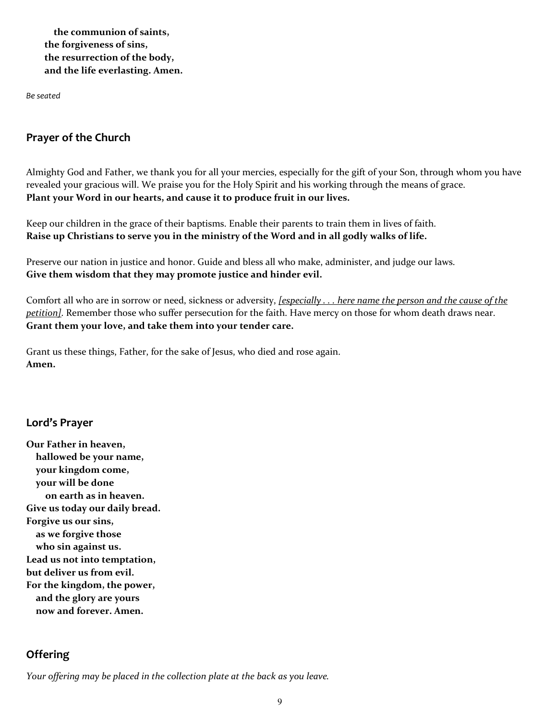**the communion of saints, the forgiveness of sins, the resurrection of the body, and the life everlasting. Amen.**

*Be seated* 

#### **Prayer of the Church**

Almighty God and Father, we thank you for all your mercies, especially for the gift of your Son, through whom you have revealed your gracious will. We praise you for the Holy Spirit and his working through the means of grace. **Plant your Word in our hearts, and cause it to produce fruit in our lives.**

Keep our children in the grace of their baptisms. Enable their parents to train them in lives of faith. **Raise up Christians to serve you in the ministry of the Word and in all godly walks of life.**

Preserve our nation in justice and honor. Guide and bless all who make, administer, and judge our laws. **Give them wisdom that they may promote justice and hinder evil.**

Comfort all who are in sorrow or need, sickness or adversity, *[especially . . . here name the person and the cause of the petition]*. Remember those who suffer persecution for the faith. Have mercy on those for whom death draws near. **Grant them your love, and take them into your tender care.**

Grant us these things, Father, for the sake of Jesus, who died and rose again. **Amen.**

#### **Lord's Prayer**

**Our Father in heaven, hallowed be your name, your kingdom come, your will be done on earth as in heaven. Give us today our daily bread. Forgive us our sins, as we forgive those who sin against us. Lead us not into temptation, but deliver us from evil. For the kingdom, the power, and the glory are yours now and forever. Amen.**

#### **Offering**

*Your offering may be placed in the collection plate at the back as you leave.*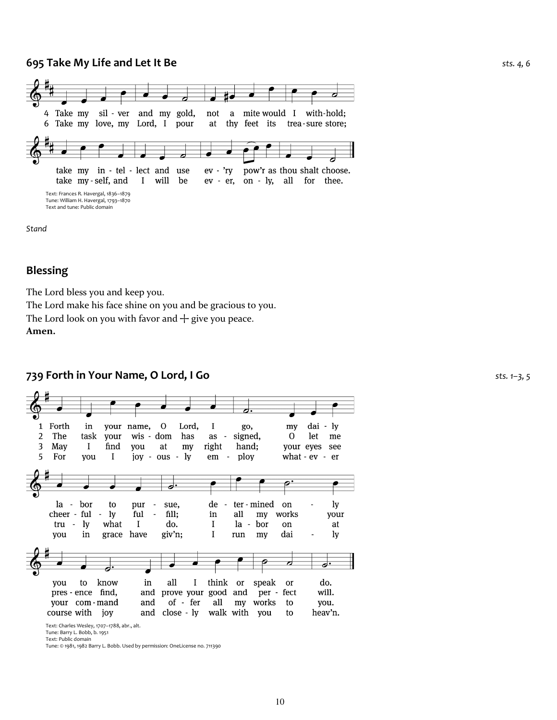#### **695 Take My Life and Let It Be** *sts. 4, 6*



*Stand* 

#### **Blessing**

The Lord bless you and keep you.

The Lord make his face shine on you and be gracious to you.

The Lord look on you with favor and  $+$  give you peace. **Amen.**

#### **739 Forth in Your Name, O Lord, I Go** *sts. 1–3, 5*



Text: Charles Wesley, 1707–1788, abr., alt.

Tune: Barry L. Bobb, b. 1951 Text: Public domain

Tune: © 1981, 1982 Barry L. Bobb. Used by permission: OneLicense no. 711390